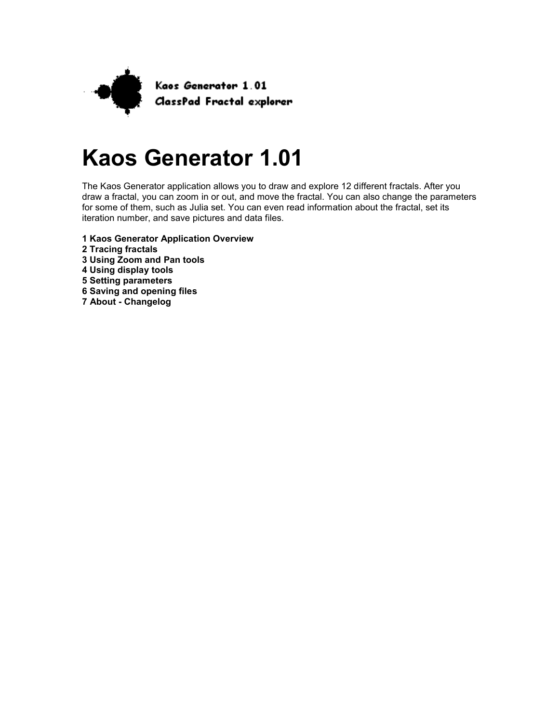

# **Kaos Generator 1.01**

The Kaos Generator application allows you to draw and explore 12 different fractals. After you draw a fractal, you can zoom in or out, and move the fractal. You can also change the parameters for some of them, such as Julia set. You can even read information about the fractal, set its iteration number, and save pictures and data files.

- **1 Kaos Generator Application Overview**
- **2 Tracing fractals**
- **3 Using Zoom and Pan tools**
- **4 Using display tools**
- **5 Setting parameters**
- **6 Saving and opening files**
- **7 About Changelog**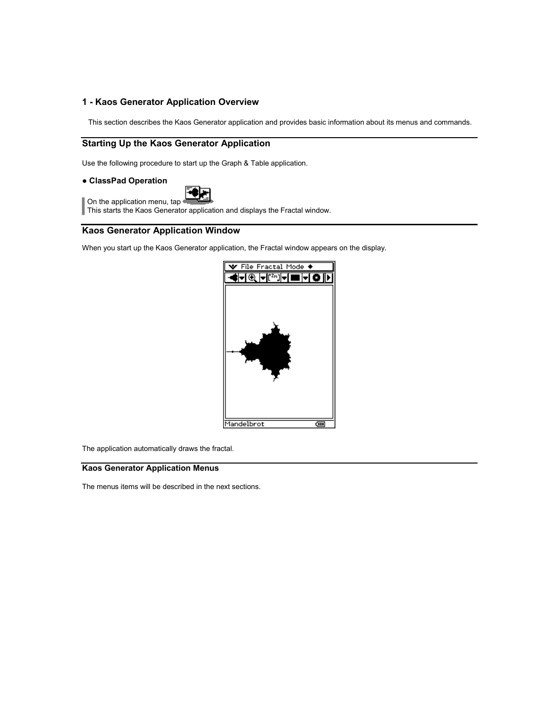## **1 - Kaos Generator Application Overview**

This section describes the Kaos Generator application and provides basic information about its menus and commands.

# **Starting Up the Kaos Generator Application**

Use the following procedure to start up the Graph & Table application.

## ● **ClassPad Operation**

On the application menu, tap

**This starts the Kaos Generator application and displays the Fractal window.** 

# **Kaos Generator Application Window**

When you start up the Kaos Generator application, the Fractal window appears on the display.



The application automatically draws the fractal.

## **Kaos Generator Application Menus**

The menus items will be described in the next sections.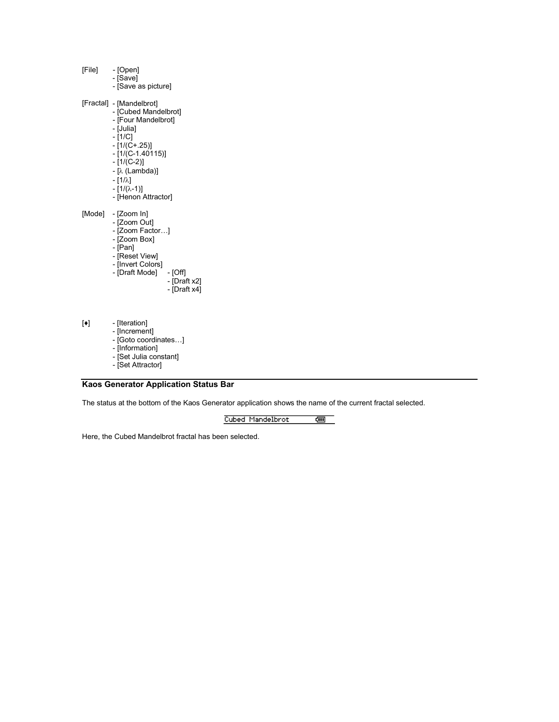[File] - [Open]

- [Save] - [Save as picture]
- [Fractal] [Mandelbrot]
- [Cubed Mandelbrot]
- [Four Mandelbrot]
- [Julia]
- [1/C] - [1/(C+.25)]
- [1/(C-1.40115)]
- [1/(C-2)]
	- $-$  [ $\lambda$  (Lambda)]
	- $-[1/\lambda]$
	- $-[1/(\lambda-1)]$
	- [Henon Attractor]
- [Mode] [Zoom In]
- [Zoom Out]
- [Zoom Factor…]
- [Zoom Box]
	- [Pan]
- [Reset View]
- [Invert Colors]
- [Draft Mode] [Off]
- [Draft x2] - [Draft x4]
	-
- [♦] [Iteration]
	- [Increment]
- [Goto coordinates…]
- [Information]
- [Set Julia constant]
- [Set Attractor]

#### **Kaos Generator Application Status Bar**

The status at the bottom of the Kaos Generator application shows the name of the current fractal selected.

Cubed Mandelbrot का ज

Here, the Cubed Mandelbrot fractal has been selected.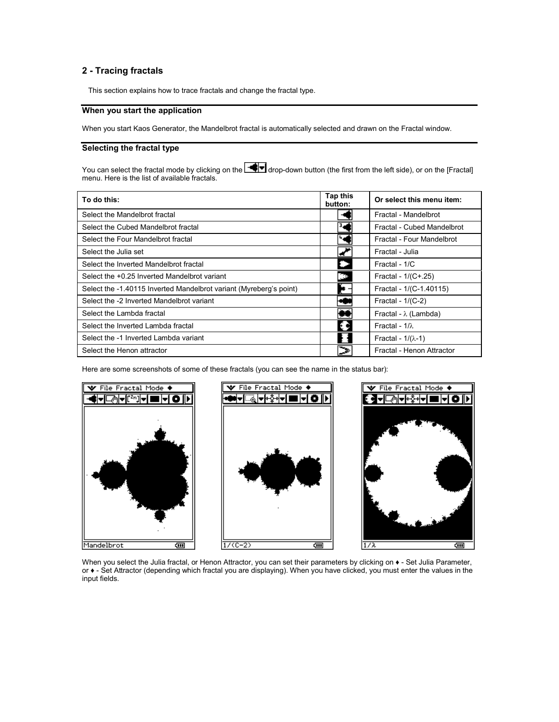# **2 - Tracing fractals**

This section explains how to trace fractals and change the fractal type.

# **When you start the application**

When you start Kaos Generator, the Mandelbrot fractal is automatically selected and drawn on the Fractal window.

## **Selecting the fractal type**

You can select the fractal mode by clicking on the  $\blacksquare$  drop-down button (the first from the left side), or on the [Fractal] menu. Here is the list of available fractals.

| To do this:                                                        | <b>Tap this</b><br>button: | Or select this menu item:    |
|--------------------------------------------------------------------|----------------------------|------------------------------|
| Select the Mandelbrot fractal                                      |                            | Fractal - Mandelbrot         |
| Select the Cubed Mandelbrot fractal                                |                            | Fractal - Cubed Mandelbrot   |
| Select the Four Mandelbrot fractal                                 |                            | Fractal - Four Mandelbrot    |
| Select the Julia set                                               |                            | Fractal - Julia              |
| Select the Inverted Mandelbrot fractal                             |                            | Fractal - 1/C                |
| Select the +0.25 Inverted Mandelbrot variant                       | ිම                         | Fractal - 1/(C+.25)          |
| Select the -1.40115 Inverted Mandelbrot variant (Myreberg's point) | æ.                         | Fractal - 1/(C-1.40115)      |
| Select the -2 Inverted Mandelbrot variant                          |                            | Fractal - $1/(C-2)$          |
| Select the Lambda fractal                                          |                            | Fractal - $\lambda$ (Lambda) |
| Select the Inverted Lambda fractal                                 |                            | Fractal - $1/\lambda$        |
| Select the -1 Inverted Lambda variant                              |                            | Fractal - $1/(\lambda-1)$    |
| Select the Henon attractor                                         |                            | Fractal - Henon Attractor    |

Here are some screenshots of some of these fractals (you can see the name in the status bar):







When you select the Julia fractal, or Henon Attractor, you can set their parameters by clicking on  $\bullet$  - Set Julia Parameter, or ♦ - Set Attractor (depending which fractal you are displaying). When you have clicked, you must enter the values in the input fields.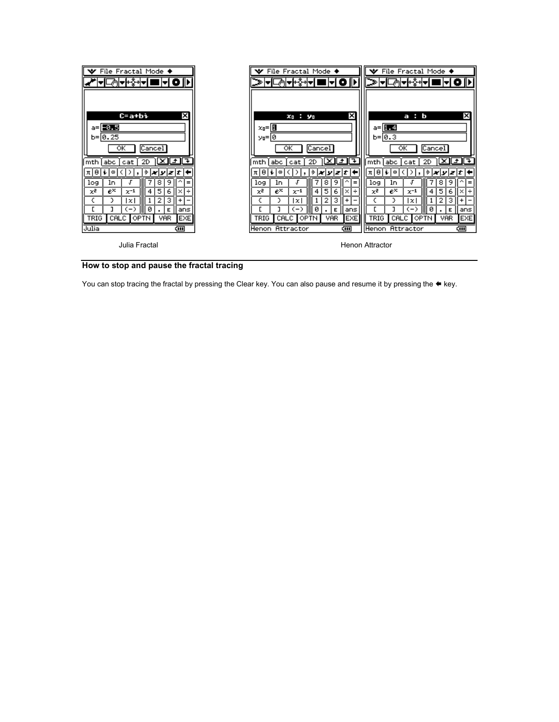| File Fractal Mode ◆<br>∣₩<br>⊅∣चस्ईसच।<br>◼┝▎◐ ╟▸▏                                                                                                                                                                                                                 | $\blacktriangleright$ File Fractal Mode $\blacklozenge$<br><u> ▼ </u> □◎ ▼ <u>┞诊</u> ┦▼<br>170  P                                                                                                                                                                                                          | $\mathbf{\mathsf{\Psi}}$ File Fractal Mode $\mathbf{\blacklozenge}$<br>≫ ▼ □्ले ▼⊦ई∗ ▼<br>HO⊪                                                                                                                                                                            |
|--------------------------------------------------------------------------------------------------------------------------------------------------------------------------------------------------------------------------------------------------------------------|------------------------------------------------------------------------------------------------------------------------------------------------------------------------------------------------------------------------------------------------------------------------------------------------------------|--------------------------------------------------------------------------------------------------------------------------------------------------------------------------------------------------------------------------------------------------------------------------|
| ×<br>C=a+bi<br>a=  <mark>-0.5</mark><br>$b = 0.25$<br>ок<br> Cancel <br>上上子<br>$\times$<br>2D<br>I <sub>mth</sub><br>l abc.<br>cat                                                                                                                                 | ×<br>$x_0$ : $y_0$<br>$x_0 =   \mathbf{B}  $<br>0 =¤ע<br>Cancel<br>ок<br>⊡<br>$\overline{1}$<br>l×l<br>2D<br>mth<br>abc<br>cat                                                                                                                                                                             | ×<br>a:b<br>$a = 1 - 4$<br>$b = 0.3$<br>Cancel <sup>1</sup><br>$\overline{\alpha}$<br>L± L∓<br>⊠<br>2D<br>mth<br> abc<br>cat                                                                                                                                             |
| π θ <br>$ \dot{\tau} $ x $ \mathbf{y} $ z $ \mathbf{t} $<br>j.<br>00<br>8<br>9<br>log<br>ln.<br>Ξ<br>χē<br>$e^{\chi}$<br>5<br>$x^{-1}$<br>6<br>÷<br>4<br>з<br>2<br>1xI<br>ø<br>(一)<br>Е<br>ans<br><b>TRIG</b><br>VAR.<br><b>EXE</b><br>CALC OPTN<br>Julia<br>द्गा। | 치비<br>$ \hat{\tau}  \mathbf{x}   \mathbf{y}   \mathbf{z}   t$<br>۱i<br>١œ<br>8<br>9<br>log<br>$\qquad \qquad =$<br>1n<br>$e^{\chi}$<br>5<br>x<br>$x^{-1}$<br>4<br>6<br>÷<br>×<br>з<br>У<br>l×l<br>ø<br>くーン<br>Е<br>ans<br><b>VAR</b><br><b>EXE</b><br><b>TRIG</b><br>CALC OPTN<br>Henon Attractor<br>द्गा। | 치비<br>۱i<br> ≑  <i>x</i>   y  <i>z</i>   t  ←<br>ω<br>,<br>8<br>9<br>log<br>1n<br>$=$<br>$e^{\chi}$<br>χē<br>5<br>$x^{-1}$<br>6<br>1÷<br>4<br>з<br>2<br>У<br>×<br>0<br>〈一〉<br>18<br>Е<br>ans<br><b>EXE</b><br>TRIG<br>CALC OPTN<br><b>VAR</b><br>Henon Attractor<br>दम्म |
| Julia Fractal                                                                                                                                                                                                                                                      |                                                                                                                                                                                                                                                                                                            | Henon Attractor                                                                                                                                                                                                                                                          |



You can stop tracing the fractal by pressing the Clear key. You can also pause and resume it by pressing the  $\blacktriangleleft$  key.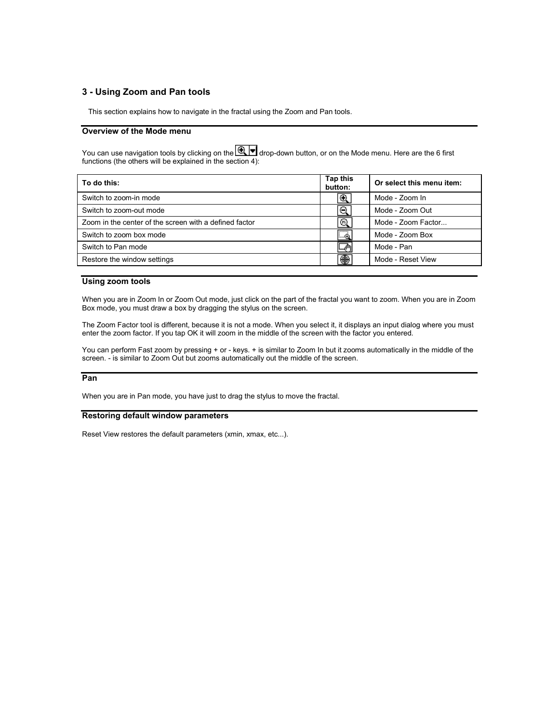## **3 - Using Zoom and Pan tools**

This section explains how to navigate in the fractal using the Zoom and Pan tools.

## **Overview of the Mode menu**

You can use navigation tools by clicking on the  $\bigcircled{\mathbb{R}}\blacktriangledown$  drop-down button, or on the Mode menu. Here are the 6 first functions (the others will be explained in the section 4):

| <b>Tap this</b><br>button: | Or select this menu item: |
|----------------------------|---------------------------|
| Q                          | Mode - Zoom In            |
| Θ                          | Mode - Zoom Out           |
| ⅏                          | Mode - Zoom Factor        |
| <br>…⊖                     | Mode - Zoom Box           |
| մՊ                         | Mode - Pan                |
| ❀                          | Mode - Reset View         |
|                            |                           |

#### **Using zoom tools**

When you are in Zoom In or Zoom Out mode, just click on the part of the fractal you want to zoom. When you are in Zoom Box mode, you must draw a box by dragging the stylus on the screen.

The Zoom Factor tool is different, because it is not a mode. When you select it, it displays an input dialog where you must enter the zoom factor. If you tap OK it will zoom in the middle of the screen with the factor you entered.

You can perform Fast zoom by pressing + or - keys. + is similar to Zoom In but it zooms automatically in the middle of the screen. - is similar to Zoom Out but zooms automatically out the middle of the screen.

#### **Pan**

When you are in Pan mode, you have just to drag the stylus to move the fractal.

#### **Restoring default window parameters**

Reset View restores the default parameters (xmin, xmax, etc...).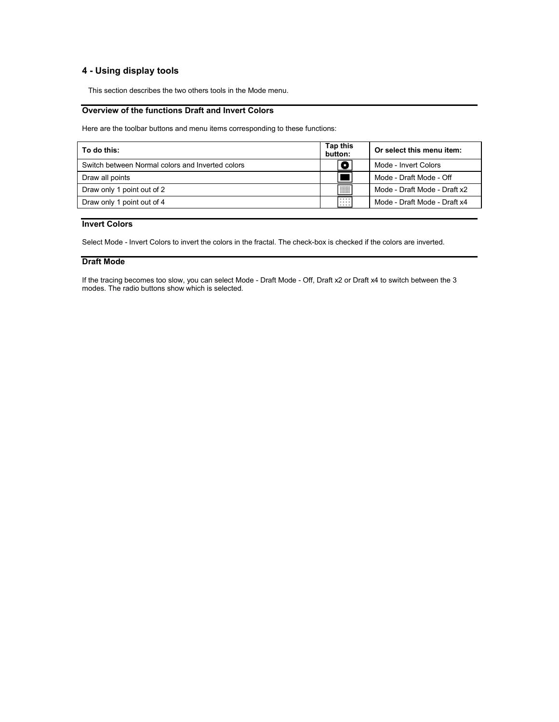# **4 - Using display tools**

This section describes the two others tools in the Mode menu.

# **Overview of the functions Draft and Invert Colors**

Here are the toolbar buttons and menu items corresponding to these functions:

| To do this:                                      | Tap this<br>button: | Or select this menu item:    |
|--------------------------------------------------|---------------------|------------------------------|
| Switch between Normal colors and Inverted colors |                     | Mode - Invert Colors         |
| Draw all points                                  |                     | Mode - Draft Mode - Off      |
| Draw only 1 point out of 2                       | W                   | Mode - Draft Mode - Draft x2 |
| Draw only 1 point out of 4                       | .<br>.<br>.         | Mode - Draft Mode - Draft x4 |
|                                                  |                     |                              |

#### **Invert Colors**

Select Mode - Invert Colors to invert the colors in the fractal. The check-box is checked if the colors are inverted.

## **Draft Mode**

If the tracing becomes too slow, you can select Mode - Draft Mode - Off, Draft x2 or Draft x4 to switch between the 3 modes. The radio buttons show which is selected.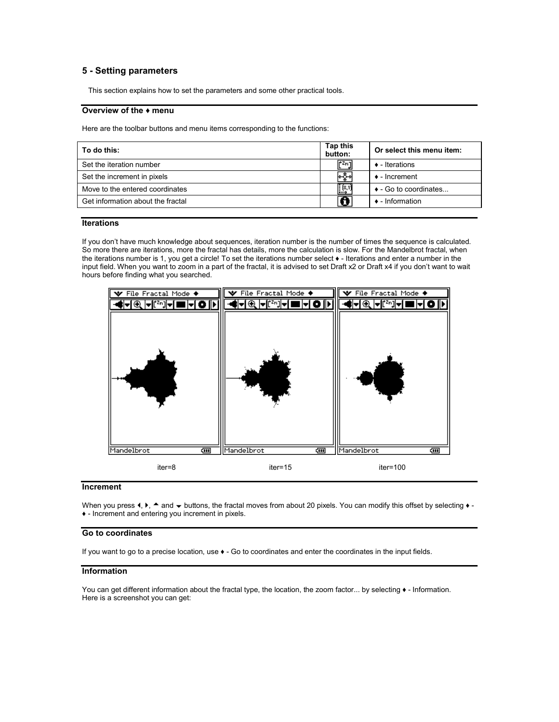## **5 - Setting parameters**

This section explains how to set the parameters and some other practical tools.

## **Overview of the ♦ menu**

Here are the toolbar buttons and menu items corresponding to the functions:

| To do this:                       | Tap this<br>button: | Or select this menu item:     |
|-----------------------------------|---------------------|-------------------------------|
| Set the iteration number          | litZnal             | $\triangle$ - Iterations      |
| Set the increment in pixels       | ⊬≬⊣                 | $\bullet$ - Increment         |
| Move to the entered coordinates   | [K)                 | $\bullet$ - Go to coordinates |
| Get information about the fractal | n                   | $\bullet$ - Information       |
|                                   |                     |                               |

#### **Iterations**

If you don't have much knowledge about sequences, iteration number is the number of times the sequence is calculated. So more there are iterations, more the fractal has details, more the calculation is slow. For the Mandelbrot fractal, when the iterations number is 1, you get a circle! To set the iterations number select ♦ - Iterations and enter a number in the input field. When you want to zoom in a part of the fractal, it is advised to set Draft x2 or Draft x4 if you don't want to wait hours before finding what you searched.



#### **Increment**

When you press  $\langle \cdot \rangle$ ,  $\blacktriangle$  and  $\blacktriangleright$  buttons, the fractal moves from about 20 pixels. You can modify this offset by selecting  $\blacktriangleright$ . ♦ - Increment and entering you increment in pixels.

#### **Go to coordinates**

If you want to go to a precise location, use ♦ - Go to coordinates and enter the coordinates in the input fields.

#### **Information**

You can get different information about the fractal type, the location, the zoom factor... by selecting  $\bullet$  - Information. Here is a screenshot you can get: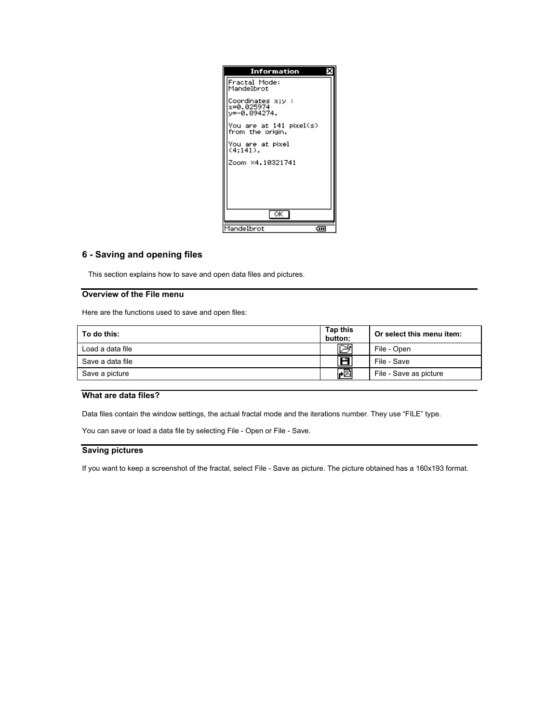| Information                                     |  |
|-------------------------------------------------|--|
| Fractal Mode:<br>Mandelbrot                     |  |
| Coordinates x;y :<br>x=0.025974<br>y=-0.894274. |  |
| You are at 141 pixel(s)<br>from the origin.     |  |
| You are at pixel<br>(4:141).                    |  |
| Zoom ×4.10321741                                |  |
|                                                 |  |
|                                                 |  |
| $\overline{\alpha}$                             |  |
| Mandelbrot<br>दम्म                              |  |

# **6 - Saving and opening files**

This section explains how to save and open data files and pictures.

## **Overview of the File menu**

Here are the functions used to save and open files:

| To do this:      | Tap this<br>button: | Or select this menu item: |
|------------------|---------------------|---------------------------|
| Load a data file |                     | File - Open               |
| Save a data file | ш                   | File - Save               |
| Save a picture   | HØ                  | File - Save as picture    |

# **What are data files?**

Data files contain the window settings, the actual fractal mode and the iterations number. They use "FILE" type.

You can save or load a data file by selecting File - Open or File - Save.

# **Saving pictures**

If you want to keep a screenshot of the fractal, select File - Save as picture. The picture obtained has a 160x193 format.